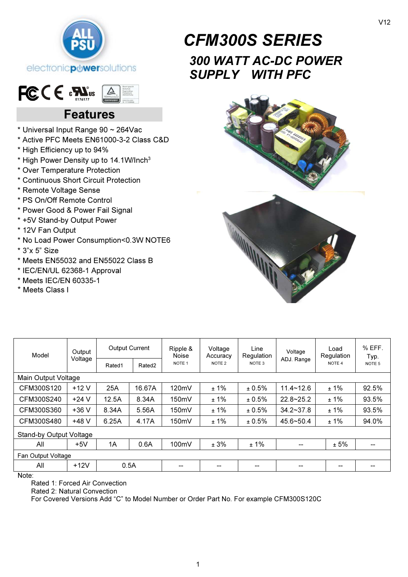

## $FCCE$   $EN_{\text{max}}$  $\triangle$

# Features

- \* Universal Input Range 90 ~ 264Vac
- \* Active PFC Meets EN61000-3-2 Class C&D
- \* High Efficiency up to 94%
- \* High Power Density up to 14.1W/Inch<sup>3</sup>
- \* Over Temperature Protection
- \* Continuous Short Circuit Protection
- \* Remote Voltage Sense
- \* PS On/Off Remote Control
- \* Power Good & Power Fail Signal
- \* +5V Stand-by Output Power
- \* 12V Fan Output
- \* No Load Power Consumption<0.3W NOTE6
- \* 3"x 5" Size
- \* Meets EN55032 and EN55022 Class B
- \* IEC/EN/UL 62368-1 Approval
- \* Meets IEC/EN 60335-1
- \* Meets Class I



# 300 WATT AC-DC POWER SUPPLY WITH PFC



| Model                          | Output  | <b>Output Current</b> |                    | Ripple &<br>Noise | Voltage<br>Accuracy | Line<br>Regulation | Voltage            | Load<br>Regulation | $%$ EFF.<br>Typ.  |
|--------------------------------|---------|-----------------------|--------------------|-------------------|---------------------|--------------------|--------------------|--------------------|-------------------|
|                                | Voltage | Rated1                | Rated <sub>2</sub> | NOTE <sub>1</sub> | NOTE <sub>2</sub>   | NOTE <sub>3</sub>  | ADJ. Range         | NOTE <sub>4</sub>  | NOTE <sub>5</sub> |
| Main Output Voltage            |         |                       |                    |                   |                     |                    |                    |                    |                   |
| CFM300S120                     | $+12V$  | 25A                   | 16.67A             | 120mV             | ±1%                 | ± 0.5%             | $11.4 - 12.6$      | ±1%                | 92.5%             |
| CFM300S240                     | $+24V$  | 12.5A                 | 8.34A              | 150mV             | ±1%                 | ± 0.5%             | $22.8 - 25.2$      | ±1%                | 93.5%             |
| CFM300S360                     | $+36V$  | 8.34A                 | 5.56A              | 150mV             | ±1%                 | ± 0.5%             | $34.2 \times 37.8$ | ±1%                | 93.5%             |
| CFM300S480                     | +48 V   | 6.25A                 | 4.17A              | 150mV             | $±1\%$              | ± 0.5%             | 45.6~50.4          | ±1%                | 94.0%             |
| <b>Stand-by Output Voltage</b> |         |                       |                    |                   |                     |                    |                    |                    |                   |
| All                            | $+5V$   | 1A                    | 0.6A               | 100mV             | ± 3%                | $±1\%$             |                    | ± 5%               |                   |
| Fan Output Voltage             |         |                       |                    |                   |                     |                    |                    |                    |                   |
| All                            | $+12V$  | 0.5A                  |                    | --                | --                  | --                 |                    | --                 |                   |
| $N = 1 - 1$                    |         |                       |                    |                   |                     |                    |                    |                    |                   |

Note:

Rated 1: Forced Air Convection

Rated 2: Natural Convection

For Covered Versions Add "C" to Model Number or Order Part No. For example CFM300S120C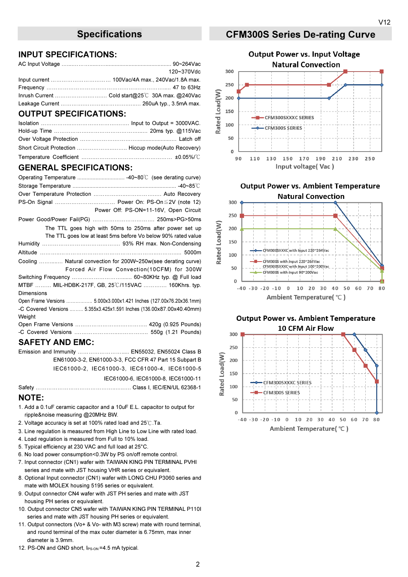#### INPUT SPECIFICATIONS:

| 120~370Vdc |
|------------|
|            |
|            |
|            |
|            |
|            |

#### OUTPUT SPECIFICATIONS:

#### GENERAL SPECIFICATIONS:

| PS-On Signal  Power On: PS-On ≤2V (note 12)                                                                 |
|-------------------------------------------------------------------------------------------------------------|
| Power Off: PS-ON=11-16V, Open Circuit                                                                       |
|                                                                                                             |
| The TTL goes high with 50ms to 250ms after power set up                                                     |
| The TTL goes low at least 5ms before Vo below 90% rated value                                               |
|                                                                                                             |
|                                                                                                             |
| Cooling  Natural convection for 200W~250w(see derating curve)<br>Forced Air Flow Convection(10CFM) for 300W |
|                                                                                                             |
| MTBF  MIL-HDBK-217F, GB, 25°C/115VAC  160Khrs. typ.                                                         |
| <b>Dimensions</b>                                                                                           |
|                                                                                                             |
| Open Frame Versions  5.000x3.000x1.421 Inches (127.00x76.20x36.1mm)                                         |
| -C Covered Versions  5.355x3.425x1.591 Inches (136.00x87.00x40.40mm)<br>Weight                              |
|                                                                                                             |

### SAFETY AND EMC:

Emission and Immunity ……………………..... EN55032, EN55024 Class B EN61000-3-2, EN61000-3-3, FCC CFR 47 Part 15 Subpart B IEC61000-2, IEC61000-3, IEC61000-4, IEC61000-5

IEC61000-6, IEC61000-8, IEC61000-11

Safety ……………………………………..…..…. Class I, IEC/EN/UL 62368-1

#### NOTE:

- 1. Add a 0.1uF ceramic capacitor and a 10uF E.L. capacitor to output for ripple&noise measuring @20MHz BW.
- 2. Voltage accuracy is set at 100% rated load and 25℃.Ta.
- 3. Line regulation is measured from High Line to Low Line with rated load.
- 4. Load regulation is measured from Full to 10% load.
- 5. Typical efficiency at 230 VAC and full load at 25°C.
- 6. No load power consumption<0.3W by PS on/off remote control.
- 7. Input connector (CN1) wafer with TAIWAN KING PIN TERMINAL PVHI series and mate with JST housing VHR series or equivalent.
- 8. Optional Input connector (CN1) wafer with LONG CHU P3060 series and mate with MOLEX housing 5195 series or equivalent.
- 9. Output connector CN4 wafer with JST PH series and mate with JST housing PH series or equivalent.
- 10. Output connector CN5 wafer with TAIWAN KING PIN TERMINAL P110I series and mate with JST housing PH series or equivalent.
- 11. Output connectors (Vo+ & Vo- with M3 screw) mate with round terminal, and round terminal of the max outer diameter is 6.75mm, max inner diameter is 3.9mm.
- 12. PS-ON and GND short, IPS-ON = 4.5 mA typical.